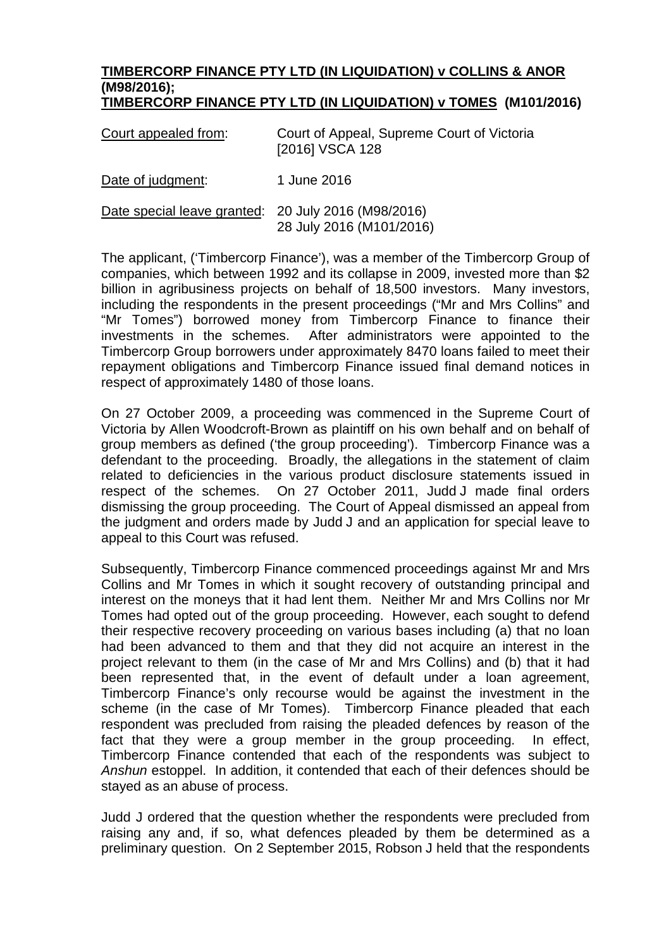## **TIMBERCORP FINANCE PTY LTD (IN LIQUIDATION) v COLLINS & ANOR (M98/2016); TIMBERCORP FINANCE PTY LTD (IN LIQUIDATION) v TOMES (M101/2016)**

| Court appealed from:                                | Court of Appeal, Supreme Court of Victoria<br>[2016] VSCA 128 |
|-----------------------------------------------------|---------------------------------------------------------------|
| Date of judgment:                                   | 1 June 2016                                                   |
| Date special leave granted: 20 July 2016 (M98/2016) | 28 July 2016 (M101/2016)                                      |

The applicant, ('Timbercorp Finance'), was a member of the Timbercorp Group of companies, which between 1992 and its collapse in 2009, invested more than \$2 billion in agribusiness projects on behalf of 18,500 investors. Many investors, including the respondents in the present proceedings ("Mr and Mrs Collins" and "Mr Tomes") borrowed money from Timbercorp Finance to finance their investments in the schemes. After administrators were appointed to the Timbercorp Group borrowers under approximately 8470 loans failed to meet their repayment obligations and Timbercorp Finance issued final demand notices in respect of approximately 1480 of those loans.

On 27 October 2009, a proceeding was commenced in the Supreme Court of Victoria by Allen Woodcroft-Brown as plaintiff on his own behalf and on behalf of group members as defined ('the group proceeding'). Timbercorp Finance was a defendant to the proceeding. Broadly, the allegations in the statement of claim related to deficiencies in the various product disclosure statements issued in respect of the schemes. On 27 October 2011, Judd J made final orders dismissing the group proceeding. The Court of Appeal dismissed an appeal from the judgment and orders made by Judd J and an application for special leave to appeal to this Court was refused.

Subsequently, Timbercorp Finance commenced proceedings against Mr and Mrs Collins and Mr Tomes in which it sought recovery of outstanding principal and interest on the moneys that it had lent them. Neither Mr and Mrs Collins nor Mr Tomes had opted out of the group proceeding. However, each sought to defend their respective recovery proceeding on various bases including (a) that no loan had been advanced to them and that they did not acquire an interest in the project relevant to them (in the case of Mr and Mrs Collins) and (b) that it had been represented that, in the event of default under a loan agreement, Timbercorp Finance's only recourse would be against the investment in the scheme (in the case of Mr Tomes). Timbercorp Finance pleaded that each respondent was precluded from raising the pleaded defences by reason of the fact that they were a group member in the group proceeding. In effect, Timbercorp Finance contended that each of the respondents was subject to *Anshun* estoppel. In addition, it contended that each of their defences should be stayed as an abuse of process.

Judd J ordered that the question whether the respondents were precluded from raising any and, if so, what defences pleaded by them be determined as a preliminary question. On 2 September 2015, Robson J held that the respondents